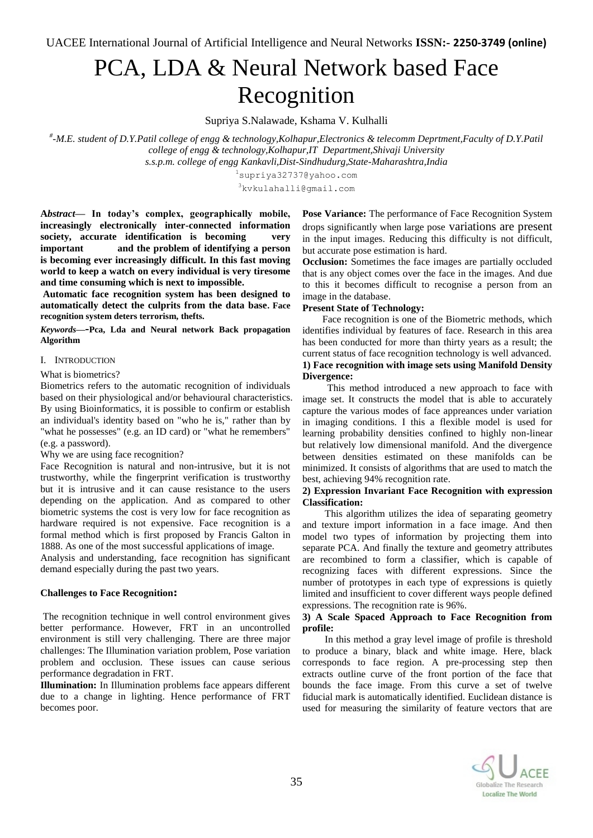# PCA, LDA & Neural Network based Face Recognition

Supriya S.Nalawade, Kshama V. Kulhalli

*# -M.E. student of D.Y.Patil college of engg & technology,Kolhapur,Electronics & telecomm Deprtment,Faculty of D.Y.Patil college of engg & technology,Kolhapur,IT Department,Shivaji University s.s.p.m. college of engg Kankavli,Dist-Sindhudurg,State-Maharashtra,India*

> <sup>1</sup>supriya32737@yahoo.com <sup>3</sup>kvkulahalli@gmail.com

**A***bstract***— In today's complex, geographically mobile, increasingly electronically inter-connected information society, accurate identification is becoming very important and the problem of identifying a person is becoming ever increasingly difficult. In this fast moving world to keep a watch on every individual is very tiresome and time consuming which is next to impossible.**

**Automatic face recognition system has been designed to automatically detect the culprits from the data base. Face recognition system deters terrorism, thefts.**

*Keywords***—-Pca, Lda and Neural network Back propagation Algorithm**

#### I. INTRODUCTION

What is biometrics?

Biometrics refers to the automatic recognition of individuals based on their physiological and/or behavioural characteristics. By using Bioinformatics, it is possible to confirm or establish an individual's identity based on "who he is," rather than by "what he possesses" (e.g. an ID card) or "what he remembers" (e.g. a password).

Why we are using face recognition?

Face Recognition is natural and non-intrusive, but it is not trustworthy, while the fingerprint verification is trustworthy but it is intrusive and it can cause resistance to the users depending on the application. And as compared to other biometric systems the cost is very low for face recognition as hardware required is not expensive. Face recognition is a formal method which is first proposed by Francis Galton in 1888. As one of the most successful applications of image.

Analysis and understanding, face recognition has significant demand especially during the past two years.

# **Challenges to Face Recognition:**

The recognition technique in well control environment gives better performance. However, FRT in an uncontrolled environment is still very challenging. There are three major challenges: The Illumination variation problem, Pose variation problem and occlusion. These issues can cause serious performance degradation in FRT.

**Illumination:** In Illumination problems face appears different due to a change in lighting. Hence performance of FRT becomes poor.

**Pose Variance:** The performance of Face Recognition System drops significantly when large pose variations are present in the input images. Reducing this difficulty is not difficult, but accurate pose estimation is hard.

**Occlusion:** Sometimes the face images are partially occluded that is any object comes over the face in the images. And due to this it becomes difficult to recognise a person from an image in the database.

#### **Present State of Technology:**

 Face recognition is one of the Biometric methods, which identifies individual by features of face. Research in this area has been conducted for more than thirty years as a result; the current status of face recognition technology is well advanced. **1) Face recognition with image sets using Manifold Density Divergence:**

 This method introduced a new approach to face with image set. It constructs the model that is able to accurately capture the various modes of face appreances under variation in imaging conditions. I this a flexible model is used for learning probability densities confined to highly non-linear but relatively low dimensional manifold. And the divergence between densities estimated on these manifolds can be minimized. It consists of algorithms that are used to match the best, achieving 94% recognition rate.

#### **2) Expression Invariant Face Recognition with expression Classification:**

 This algorithm utilizes the idea of separating geometry and texture import information in a face image. And then model two types of information by projecting them into separate PCA. And finally the texture and geometry attributes are recombined to form a classifier, which is capable of recognizing faces with different expressions. Since the number of prototypes in each type of expressions is quietly limited and insufficient to cover different ways people defined expressions. The recognition rate is 96%.

# **3) A Scale Spaced Approach to Face Recognition from profile:**

 In this method a gray level image of profile is threshold to produce a binary, black and white image. Here, black corresponds to face region. A pre-processing step then extracts outline curve of the front portion of the face that bounds the face image. From this curve a set of twelve fiducial mark is automatically identified. Euclidean distance is used for measuring the similarity of feature vectors that are

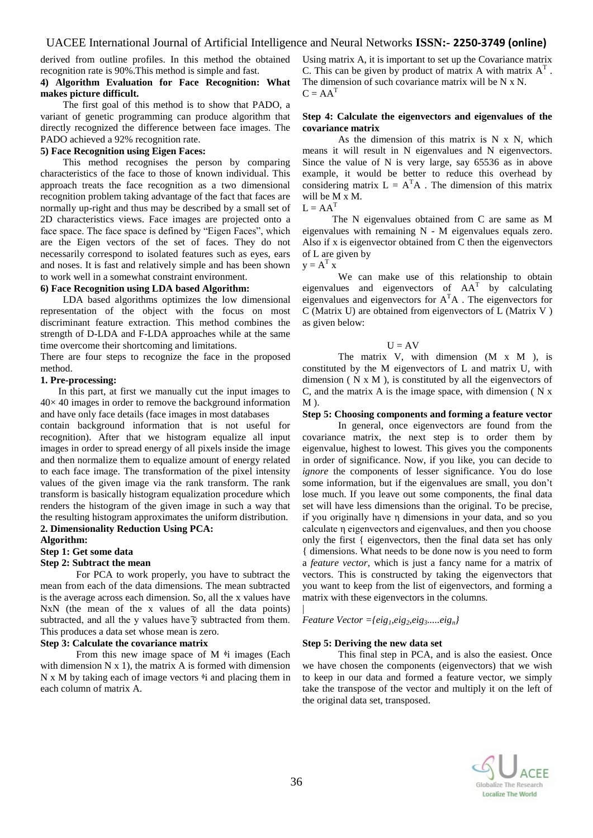derived from outline profiles. In this method the obtained recognition rate is 90%.This method is simple and fast.

## **4) Algorithm Evaluation for Face Recognition: What makes picture difficult.**

 The first goal of this method is to show that PADO, a variant of genetic programming can produce algorithm that directly recognized the difference between face images. The PADO achieved a 92% recognition rate.

# **5) Face Recognition using Eigen Faces:**

 This method recognises the person by comparing characteristics of the face to those of known individual. This approach treats the face recognition as a two dimensional recognition problem taking advantage of the fact that faces are normally up-right and thus may be described by a small set of 2D characteristics views. Face images are projected onto a face space. The face space is defined by "Eigen Faces", which are the Eigen vectors of the set of faces. They do not necessarily correspond to isolated features such as eyes, ears and noses. It is fast and relatively simple and has been shown to work well in a somewhat constraint environment.

#### **6) Face Recognition using LDA based Algorithm:**

 LDA based algorithms optimizes the low dimensional representation of the object with the focus on most discriminant feature extraction. This method combines the strength of D-LDA and F-LDA approaches while at the same time overcome their shortcoming and limitations.

There are four steps to recognize the face in the proposed method.

#### **1. Pre-processing:**

In this part, at first we manually cut the input images to  $40\times 40$  images in order to remove the background information and have only face details (face images in most databases

contain background information that is not useful for recognition). After that we histogram equalize all input images in order to spread energy of all pixels inside the image and then normalize them to equalize amount of energy related to each face image. The transformation of the pixel intensity values of the given image via the rank transform. The rank transform is basically histogram equalization procedure which renders the histogram of the given image in such a way that the resulting histogram approximates the uniform distribution.

# **2. Dimensionality Reduction Using PCA:**

**Algorithm:**

# **Step 1: Get some data**

#### **Step 2: Subtract the mean**

For PCA to work properly, you have to subtract the mean from each of the data dimensions. The mean subtracted is the average across each dimension. So, all the x values have NxN (the mean of the x values of all the data points) subtracted, and all the y values have  $\bar{y}$  subtracted from them. This produces a data set whose mean is zero.

#### **Step 3: Calculate the covariance matrix**

From this new image space of M  $\frac{1}{3}$  images (Each with dimension  $N \times 1$ , the matrix A is formed with dimension N x M by taking each of image vectors  $\dot{\phi}$  and placing them in each column of matrix A.

Using matrix A, it is important to set up the Covariance matrix C. This can be given by product of matrix A with matrix  $A<sup>T</sup>$ . The dimension of such covariance matrix will be N x N.  $C = AA^T$ 

#### **Step 4: Calculate the eigenvectors and eigenvalues of the covariance matrix**

As the dimension of this matrix is  $N \times N$ , which means it will result in N eigenvalues and N eigenvectors. Since the value of N is very large, say 65536 as in above example, it would be better to reduce this overhead by considering matrix  $L = A<sup>T</sup>A$ . The dimension of this matrix will be M x M.  $L = AA^T$ 

 The N eigenvalues obtained from C are same as M eigenvalues with remaining N - M eigenvalues equals zero. Also if x is eigenvector obtained from C then the eigenvectors of L are given by

$$
\mathbf{y} = \mathbf{A}^{\mathrm{T}} \mathbf{x}^{\top}
$$

We can make use of this relationship to obtain eigenvalues and eigenvectors of  $AA<sup>T</sup>$  by calculating eigenvalues and eigenvectors for  $A<sup>T</sup>A$ . The eigenvectors for C (Matrix U) are obtained from eigenvectors of L (Matrix V ) as given below:

#### $U = AV$

The matrix V, with dimension  $(M \times M)$ , is constituted by the M eigenvectors of L and matrix U, with dimension ( $N \times M$ ), is constituted by all the eigenvectors of C, and the matrix A is the image space, with dimension  $(N \times N)$  $M<sub>0</sub>$ .

# **Step 5: Choosing components and forming a feature vector**

In general, once eigenvectors are found from the covariance matrix, the next step is to order them by eigenvalue, highest to lowest. This gives you the components in order of significance. Now, if you like, you can decide to *ignore* the components of lesser significance. You do lose some information, but if the eigenvalues are small, you don't lose much. If you leave out some components, the final data set will have less dimensions than the original. To be precise, if you originally have *n* dimensions in your data, and so you calculate n eigenvectors and eigenvalues, and then you choose only the first { eigenvectors, then the final data set has only { dimensions. What needs to be done now is you need to form a *feature vector*, which is just a fancy name for a matrix of vectors. This is constructed by taking the eigenvectors that you want to keep from the list of eigenvectors, and forming a matrix with these eigenvectors in the columns. |

*Feature Vector ={eig1,eig2,eig3.....eign}*

# **Step 5: Deriving the new data set**

This final step in PCA, and is also the easiest. Once we have chosen the components (eigenvectors) that we wish to keep in our data and formed a feature vector, we simply take the transpose of the vector and multiply it on the left of the original data set, transposed.

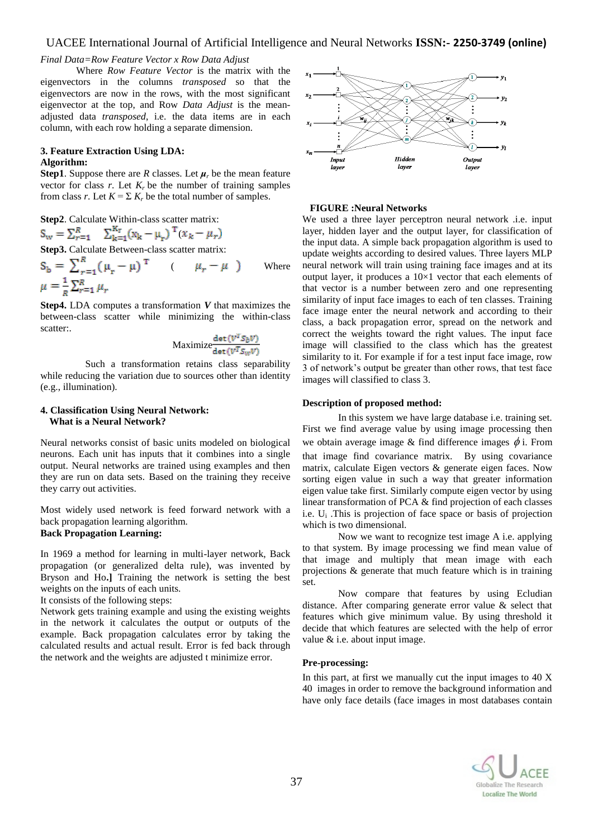# UACEE International Journal of Artificial Intelligence and Neural Networks **ISSN:- 2250-3749 (online)**

# *Final Data=Row Feature Vector x Row Data Adjust*

Where *Row Feature Vector* is the matrix with the eigenvectors in the columns *transposed* so that the eigenvectors are now in the rows, with the most significant eigenvector at the top, and Row *Data Adjust* is the meanadjusted data *transposed*, i.e. the data items are in each column, with each row holding a separate dimension.

## **3. Feature Extraction Using LDA: Algorithm:**

**Step1**. Suppose there are *R* classes. Let *μ<sup>r</sup>* be the mean feature vector for class  $r$ . Let  $K_r$  be the number of training samples from class *r*. Let  $K = \sum K_r$  be the total number of samples.

**Step2**. Calculate Within-class scatter matrix:  $S_w = \sum_{r=1}^{R} \sum_{k=1}^{K_r} (x_k - \mu_r)^T (x_k - \mu_r)$ 

**Step3.** Calculate Between-class scatter matrix:

$$
S_b = \sum_{r=1}^{R} (\mu_r - \mu)^T \qquad (\mu_r - \mu) \qquad \text{Where}
$$
  

$$
\mu = \frac{1}{R} \sum_{r=1}^{R} \mu_r
$$

**Step4.** LDA computes a transformation *V* that maximizes the between-class scatter while minimizing the within-class scatter:

$$
\text{Maximize} \frac{\det(V^{T} S_{b} V)}{\det(V^{T} S_{W} V)}
$$

 Such a transformation retains class separability while reducing the variation due to sources other than identity (e.g., illumination).

# **4. Classification Using Neural Network: What is a Neural Network?**

Neural networks consist of basic units modeled on biological neurons. Each unit has inputs that it combines into a single output. Neural networks are trained using examples and then they are run on data sets. Based on the training they receive they carry out activities.

Most widely used network is feed forward network with a back propagation learning algorithm.

# **Back Propagation Learning:**

In 1969 a method for learning in multi-layer network, Back propagation (or generalized delta rule), was invented by Bryson and Ho**.]** Training the network is setting the best weights on the inputs of each units.

#### It consists of the following steps:

Network gets training example and using the existing weights in the network it calculates the output or outputs of the example. Back propagation calculates error by taking the calculated results and actual result. Error is fed back through the network and the weights are adjusted t minimize error.



#### **FIGURE :Neural Networks**

We used a three layer perceptron neural network .i.e. input layer, hidden layer and the output layer, for classification of the input data. A simple back propagation algorithm is used to update weights according to desired values. Three layers MLP neural network will train using training face images and at its output layer, it produces a  $10\times1$  vector that each elements of that vector is a number between zero and one representing similarity of input face images to each of ten classes. Training face image enter the neural network and according to their class, a back propagation error, spread on the network and correct the weights toward the right values. The input face image will classified to the class which has the greatest similarity to it. For example if for a test input face image, row 3 of network's output be greater than other rows, that test face images will classified to class 3.

#### **Description of proposed method:**

In this system we have large database i.e. training set. First we find average value by using image processing then we obtain average image & find difference images  $\phi$  i. From that image find covariance matrix. By using covariance matrix, calculate Eigen vectors & generate eigen faces. Now sorting eigen value in such a way that greater information eigen value take first. Similarly compute eigen vector by using linear transformation of PCA & find projection of each classes i.e. U<sup>i</sup> .This is projection of face space or basis of projection which is two dimensional.

Now we want to recognize test image A i.e. applying to that system. By image processing we find mean value of that image and multiply that mean image with each projections & generate that much feature which is in training set.

Now compare that features by using Ecludian distance. After comparing generate error value & select that features which give minimum value. By using threshold it decide that which features are selected with the help of error value & i.e. about input image.

#### **Pre-processing:**

In this part, at first we manually cut the input images to 40 X 40 images in order to remove the background information and have only face details (face images in most databases contain

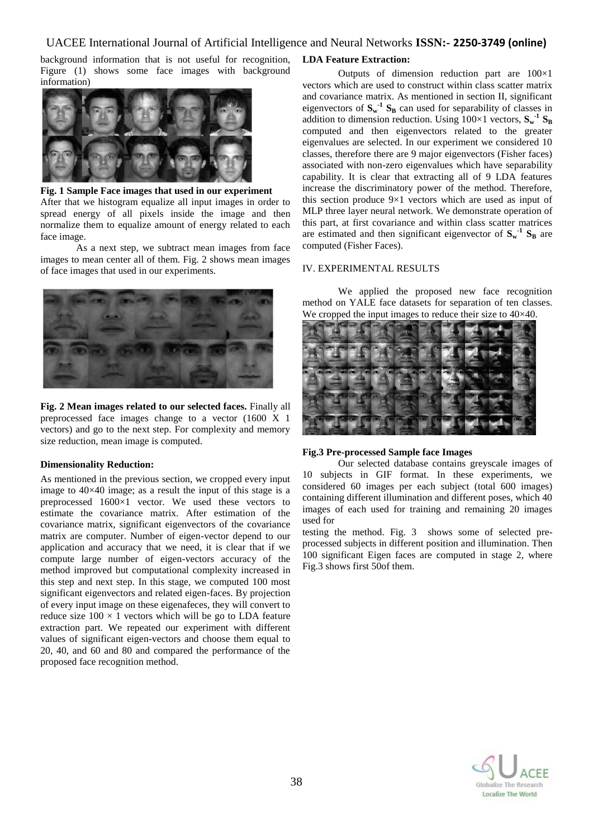# UACEE International Journal of Artificial Intelligence and Neural Networks **ISSN:- 2250-3749 (online)**

background information that is not useful for recognition, Figure (1) shows some face images with background information)



# **Fig. 1 Sample Face images that used in our experiment** After that we histogram equalize all input images in order to spread energy of all pixels inside the image and then normalize them to equalize amount of energy related to each face image.

As a next step, we subtract mean images from face images to mean center all of them. Fig. 2 shows mean images of face images that used in our experiments.



**Fig. 2 Mean images related to our selected faces.** Finally all preprocessed face images change to a vector (1600 X 1 vectors) and go to the next step. For complexity and memory size reduction, mean image is computed.

#### **Dimensionality Reduction:**

As mentioned in the previous section, we cropped every input image to 40×40 image; as a result the input of this stage is a preprocessed 1600×1 vector. We used these vectors to estimate the covariance matrix. After estimation of the covariance matrix, significant eigenvectors of the covariance matrix are computer. Number of eigen-vector depend to our application and accuracy that we need, it is clear that if we compute large number of eigen-vectors accuracy of the method improved but computational complexity increased in this step and next step. In this stage, we computed 100 most significant eigenvectors and related eigen-faces. By projection of every input image on these eigenafeces, they will convert to reduce size  $100 \times 1$  vectors which will be go to LDA feature extraction part. We repeated our experiment with different values of significant eigen-vectors and choose them equal to 20, 40, and 60 and 80 and compared the performance of the proposed face recognition method.

# **LDA Feature Extraction:**

Outputs of dimension reduction part are 100×1 vectors which are used to construct within class scatter matrix and covariance matrix. As mentioned in section II, significant eigenvectors of  $S_w$ <sup>-1</sup>  $S_B$  can used for separability of classes in addition to dimension reduction. Using  $100 \times 1$  vectors,  $S_w^{-1} S_B$ computed and then eigenvectors related to the greater eigenvalues are selected. In our experiment we considered 10 classes, therefore there are 9 major eigenvectors (Fisher faces) associated with non-zero eigenvalues which have separability capability. It is clear that extracting all of 9 LDA features increase the discriminatory power of the method. Therefore, this section produce 9×1 vectors which are used as input of MLP three layer neural network. We demonstrate operation of this part, at first covariance and within class scatter matrices are estimated and then significant eigenvector of  $S_w$ <sup>1</sup>  $S_B$  are computed (Fisher Faces).

#### IV. EXPERIMENTAL RESULTS

We applied the proposed new face recognition method on YALE face datasets for separation of ten classes. We cropped the input images to reduce their size to  $40\times40$ .



#### **Fig.3 Pre-processed Sample face Images**

Our selected database contains greyscale images of 10 subjects in GIF format. In these experiments, we considered 60 images per each subject (total 600 images) containing different illumination and different poses, which 40 images of each used for training and remaining 20 images used for

testing the method. Fig. 3 shows some of selected preprocessed subjects in different position and illumination. Then 100 significant Eigen faces are computed in stage 2, where Fig.3 shows first 50of them.